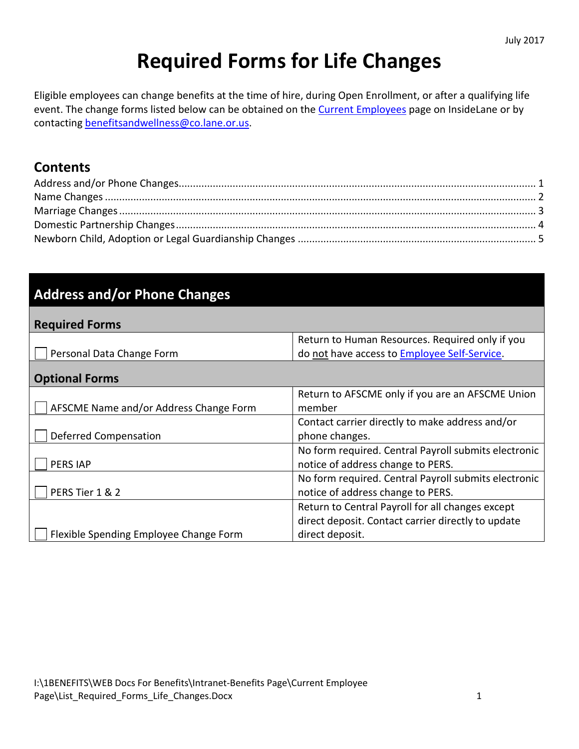# **Required Forms for Life Changes**

Eligible employees can change benefits at the time of hire, during Open Enrollment, or after a qualifying life event. The change forms listed below can be obtained on th[e Current Employees](http://insidelane.lc100.net/MyPortal.aspx?page=394) page on InsideLane or by contacting [benefitsandwellness@co.lane.or.us.](mailto:benefitsandwellness@co.lane.or.us)

#### **Contents**

#### **Address and/or Phone Changes**

| <b>Required Forms</b>     |                                                 |
|---------------------------|-------------------------------------------------|
|                           | Return to Human Resources. Required only if you |
| Personal Data Change Form | do not have access to Employee Self-Service.    |

| <b>Optional Forms</b>                  |                                                      |
|----------------------------------------|------------------------------------------------------|
|                                        | Return to AFSCME only if you are an AFSCME Union     |
| AFSCME Name and/or Address Change Form | member                                               |
|                                        | Contact carrier directly to make address and/or      |
| Deferred Compensation                  | phone changes.                                       |
|                                        | No form required. Central Payroll submits electronic |
| PERS IAP                               | notice of address change to PERS.                    |
|                                        | No form required. Central Payroll submits electronic |
| PERS Tier 1 & 2                        | notice of address change to PERS.                    |
|                                        | Return to Central Payroll for all changes except     |
|                                        | direct deposit. Contact carrier directly to update   |
| Flexible Spending Employee Change Form | direct deposit.                                      |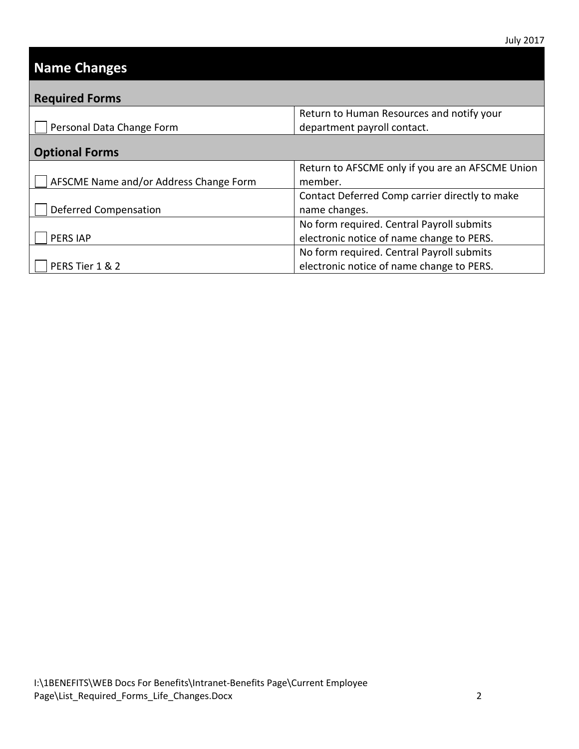## <span id="page-1-0"></span>**Name Changes**

| <b>Required Forms</b>                  |                                                  |
|----------------------------------------|--------------------------------------------------|
|                                        | Return to Human Resources and notify your        |
| Personal Data Change Form              | department payroll contact.                      |
| <b>Optional Forms</b>                  |                                                  |
|                                        | Return to AFSCME only if you are an AFSCME Union |
| AFSCME Name and/or Address Change Form | member.                                          |
|                                        | Contact Deferred Comp carrier directly to make   |
| Deferred Compensation                  | name changes.                                    |
|                                        | No form required. Central Payroll submits        |
| <b>PERS IAP</b>                        | electronic notice of name change to PERS.        |
|                                        | No form required. Central Payroll submits        |
| PERS Tier 1 & 2                        | electronic notice of name change to PERS.        |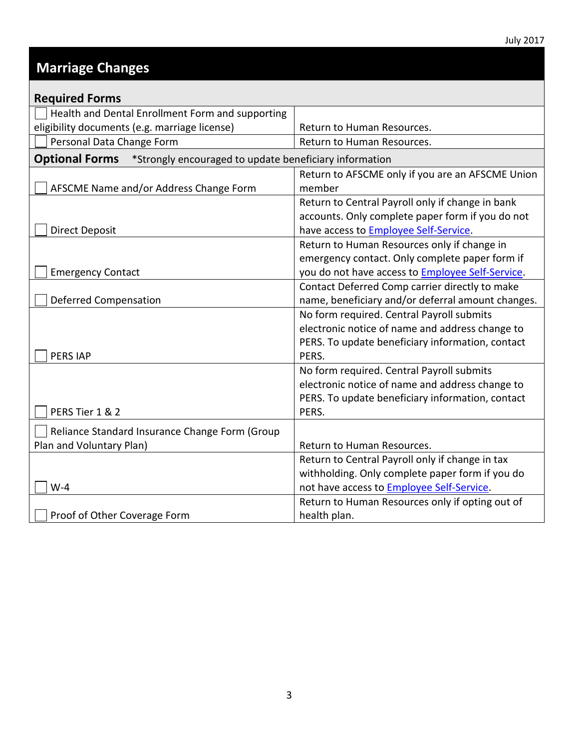#### <span id="page-2-0"></span>**Marriage Changes**

| <b>Required Forms</b>                                                           |                                                          |
|---------------------------------------------------------------------------------|----------------------------------------------------------|
| Health and Dental Enrollment Form and supporting                                |                                                          |
| eligibility documents (e.g. marriage license)                                   | Return to Human Resources.                               |
| Personal Data Change Form                                                       | Return to Human Resources.                               |
| <b>Optional Forms</b><br>*Strongly encouraged to update beneficiary information |                                                          |
|                                                                                 | Return to AFSCME only if you are an AFSCME Union         |
| AFSCME Name and/or Address Change Form                                          | member                                                   |
|                                                                                 | Return to Central Payroll only if change in bank         |
|                                                                                 | accounts. Only complete paper form if you do not         |
| <b>Direct Deposit</b>                                                           | have access to <b>Employee Self-Service</b> .            |
|                                                                                 | Return to Human Resources only if change in              |
|                                                                                 | emergency contact. Only complete paper form if           |
| <b>Emergency Contact</b>                                                        | you do not have access to <b>Employee Self-Service</b> . |
|                                                                                 | Contact Deferred Comp carrier directly to make           |
| <b>Deferred Compensation</b>                                                    | name, beneficiary and/or deferral amount changes.        |
|                                                                                 | No form required. Central Payroll submits                |
|                                                                                 | electronic notice of name and address change to          |
|                                                                                 | PERS. To update beneficiary information, contact         |
| <b>PERS IAP</b>                                                                 | PERS.                                                    |
|                                                                                 | No form required. Central Payroll submits                |
|                                                                                 | electronic notice of name and address change to          |
|                                                                                 | PERS. To update beneficiary information, contact         |
| PERS Tier 1 & 2                                                                 | PERS.                                                    |
| Reliance Standard Insurance Change Form (Group                                  |                                                          |
| Plan and Voluntary Plan)                                                        | Return to Human Resources.                               |
|                                                                                 | Return to Central Payroll only if change in tax          |
|                                                                                 | withholding. Only complete paper form if you do          |
| $W-4$                                                                           | not have access to Employee Self-Service.                |
|                                                                                 | Return to Human Resources only if opting out of          |
| Proof of Other Coverage Form                                                    | health plan.                                             |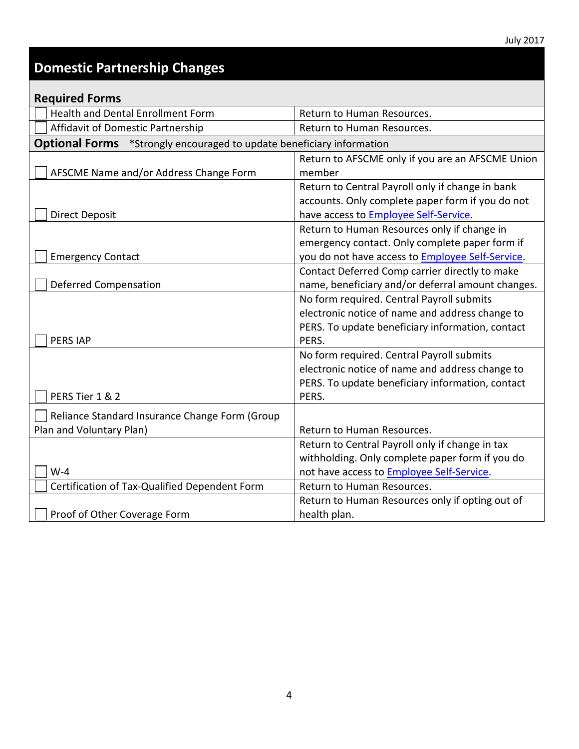## <span id="page-3-0"></span>**Domestic Partnership Changes**

| <b>Required Forms</b>                                                        |                                                   |
|------------------------------------------------------------------------------|---------------------------------------------------|
| <b>Health and Dental Enrollment Form</b>                                     | Return to Human Resources.                        |
| Affidavit of Domestic Partnership                                            | Return to Human Resources.                        |
| <b>Optional Forms</b> *Strongly encouraged to update beneficiary information |                                                   |
|                                                                              | Return to AFSCME only if you are an AFSCME Union  |
| AFSCME Name and/or Address Change Form                                       | member                                            |
|                                                                              | Return to Central Payroll only if change in bank  |
|                                                                              | accounts. Only complete paper form if you do not  |
| <b>Direct Deposit</b>                                                        | have access to <b>Employee Self-Service</b> .     |
|                                                                              | Return to Human Resources only if change in       |
|                                                                              | emergency contact. Only complete paper form if    |
| <b>Emergency Contact</b>                                                     | you do not have access to Employee Self-Service.  |
|                                                                              | Contact Deferred Comp carrier directly to make    |
| <b>Deferred Compensation</b>                                                 | name, beneficiary and/or deferral amount changes. |
|                                                                              | No form required. Central Payroll submits         |
|                                                                              | electronic notice of name and address change to   |
|                                                                              | PERS. To update beneficiary information, contact  |
| <b>PERS IAP</b>                                                              | PERS.                                             |
|                                                                              | No form required. Central Payroll submits         |
|                                                                              | electronic notice of name and address change to   |
|                                                                              | PERS. To update beneficiary information, contact  |
| PERS Tier 1 & 2                                                              | PERS.                                             |
| Reliance Standard Insurance Change Form (Group                               |                                                   |
| Plan and Voluntary Plan)                                                     | Return to Human Resources.                        |
|                                                                              | Return to Central Payroll only if change in tax   |
|                                                                              | withholding. Only complete paper form if you do   |
| $W-4$                                                                        | not have access to <b>Employee Self-Service</b> . |
| Certification of Tax-Qualified Dependent Form                                | Return to Human Resources.                        |
|                                                                              | Return to Human Resources only if opting out of   |
| Proof of Other Coverage Form                                                 | health plan.                                      |